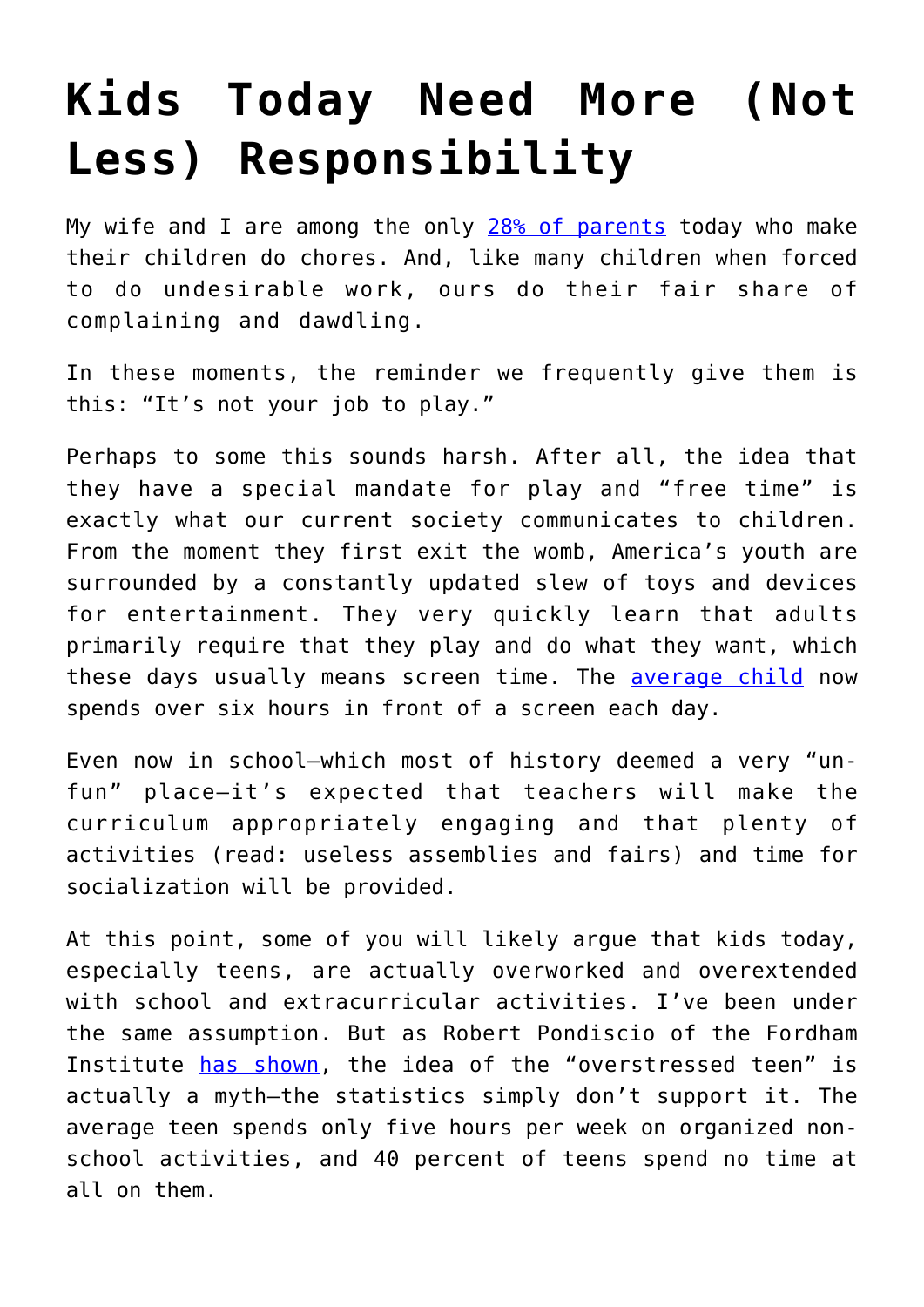## **[Kids Today Need More \(Not](https://intellectualtakeout.org/2016/07/kids-today-need-more-not-less-responsibility/) [Less\) Responsibility](https://intellectualtakeout.org/2016/07/kids-today-need-more-not-less-responsibility/)**

My wife and I are among the only  $28\%$  of parents today who make their children do chores. And, like many children when forced to do undesirable work, ours do their fair share of complaining and dawdling.

In these moments, the reminder we frequently give them is this: "It's not your job to play."

Perhaps to some this sounds harsh. After all, the idea that they have a special mandate for play and "free time" is exactly what our current society communicates to children. From the moment they first exit the womb, America's youth are surrounded by a constantly updated slew of toys and devices for entertainment. They very quickly learn that adults primarily require that they play and do what they want, which these days usually means screen time. The [average child](http://www.bbc.com/news/technology-32067158) now spends over six hours in front of a screen each day.

Even now in school—which most of history deemed a very "unfun" place—it's expected that teachers will make the curriculum appropriately engaging and that plenty of activities (read: useless assemblies and fairs) and time for socialization will be provided.

At this point, some of you will likely argue that kids today, especially teens, are actually overworked and overextended with school and extracurricular activities. I've been under the same assumption. But as Robert Pondiscio of the Fordham Institute [has shown](http://www.usnews.com/opinion/knowledge-bank/2015/07/31/the-overstressed-american-student-is-a-myth), the idea of the "overstressed teen" is actually a myth—the statistics simply don't support it. The average teen spends only five hours per week on organized nonschool activities, and 40 percent of teens spend no time at all on them.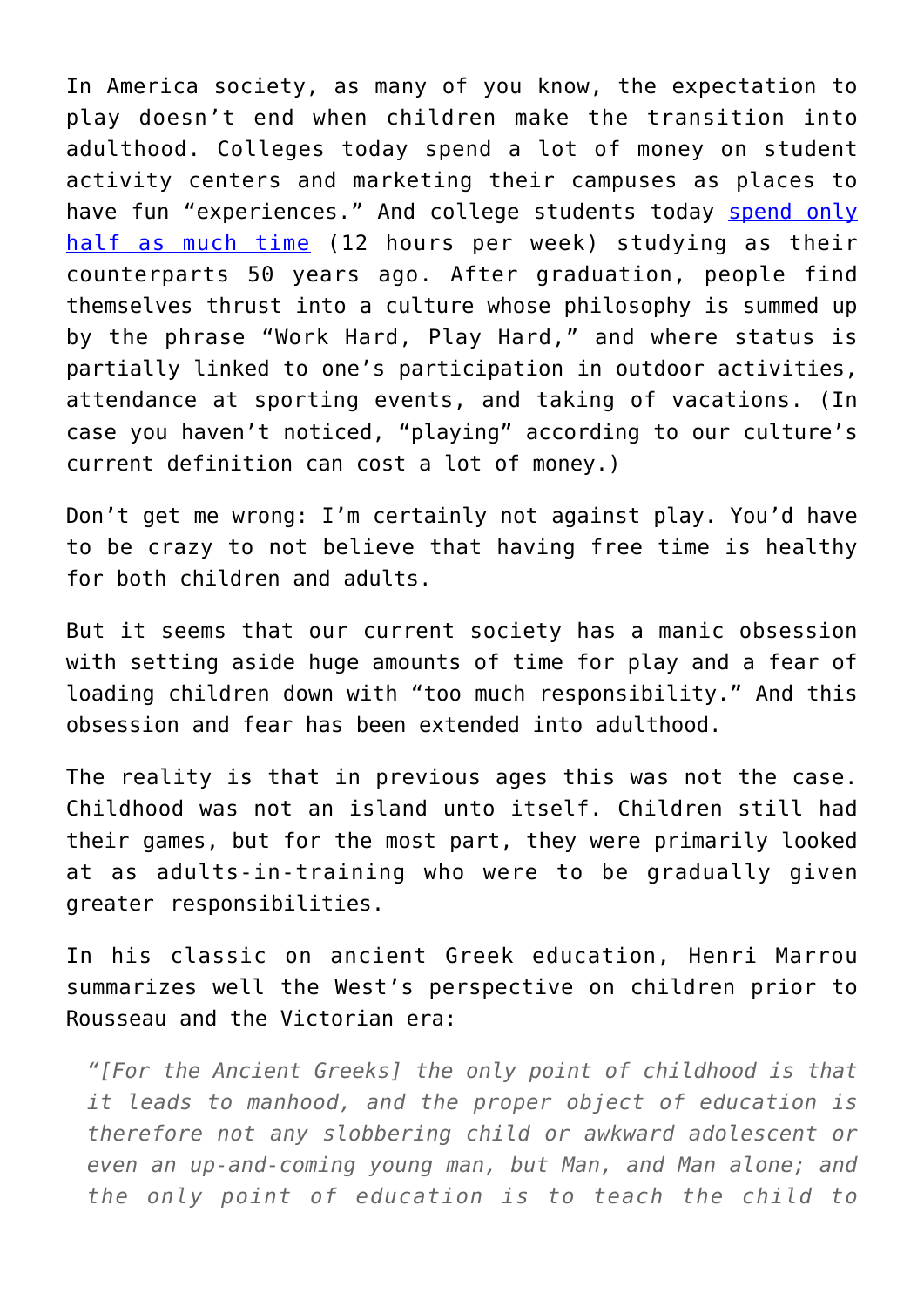In America society, as many of you know, the expectation to play doesn't end when children make the transition into adulthood. Colleges today spend a lot of money on student activity centers and marketing their campuses as places to have fun "experiences." And college students today [spend only](https://www.intellectualtakeout.org/blog/todays-college-students-arent-studying) [half as much time](https://www.intellectualtakeout.org/blog/todays-college-students-arent-studying) (12 hours per week) studying as their counterparts 50 years ago. After graduation, people find themselves thrust into a culture whose philosophy is summed up by the phrase "Work Hard, Play Hard," and where status is partially linked to one's participation in outdoor activities, attendance at sporting events, and taking of vacations. (In case you haven't noticed, "playing" according to our culture's current definition can cost a lot of money.)

Don't get me wrong: I'm certainly not against play. You'd have to be crazy to not believe that having free time is healthy for both children and adults.

But it seems that our current society has a manic obsession with setting aside huge amounts of time for play and a fear of loading children down with "too much responsibility." And this obsession and fear has been extended into adulthood.

The reality is that in previous ages this was not the case. Childhood was not an island unto itself. Children still had their games, but for the most part, they were primarily looked at as adults-in-training who were to be gradually given greater responsibilities.

In his classic on ancient Greek education, Henri Marrou summarizes well the West's perspective on children prior to Rousseau and the Victorian era:

*"[For the Ancient Greeks] the only point of childhood is that it leads to manhood, and the proper object of education is therefore not any slobbering child or awkward adolescent or even an up-and-coming young man, but Man, and Man alone; and the only point of education is to teach the child to*